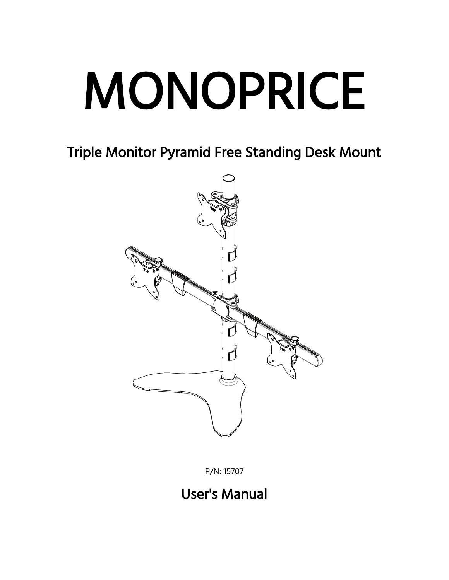# MONOPRICE

Triple Monitor Pyramid Free Standing Desk Mount



P/N: 15707

# User's Manual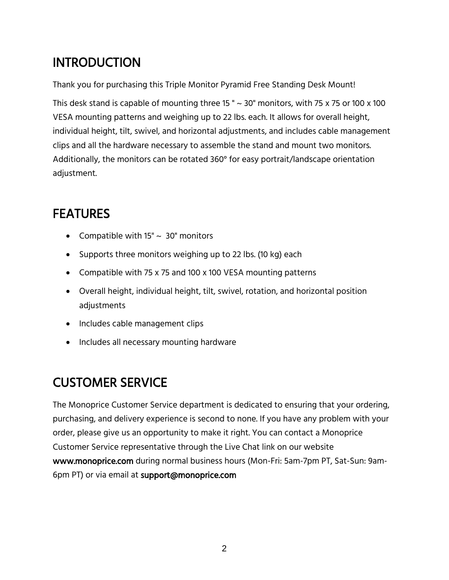### **INTRODUCTION**

Thank you for purchasing this Triple Monitor Pyramid Free Standing Desk Mount!

This desk stand is capable of mounting three 15 " $\sim$  30" monitors, with 75 x 75 or 100 x 100 VESA mounting patterns and weighing up to 22 lbs. each. It allows for overall height, individual height, tilt, swivel, and horizontal adjustments, and includes cable management clips and all the hardware necessary to assemble the stand and mount two monitors. Additionally, the monitors can be rotated 360° for easy portrait/landscape orientation adjustment.

# **FEATURES**

- Compatible with  $15" \sim 30"$  monitors
- Supports three monitors weighing up to 22 lbs. (10 kg) each
- Compatible with 75 x 75 and 100 x 100 VESA mounting patterns
- Overall height, individual height, tilt, swivel, rotation, and horizontal position adjustments
- Includes cable management clips
- Includes all necessary mounting hardware

# CUSTOMER SERVICE

The Monoprice Customer Service department is dedicated to ensuring that your ordering, purchasing, and delivery experience is second to none. If you have any problem with your order, please give us an opportunity to make it right. You can contact a Monoprice Customer Service representative through the Live Chat link on our website www.monoprice.com during normal business hours (Mon-Fri: 5am-7pm PT, Sat-Sun: 9am-6pm PT) or via email at support@monoprice.com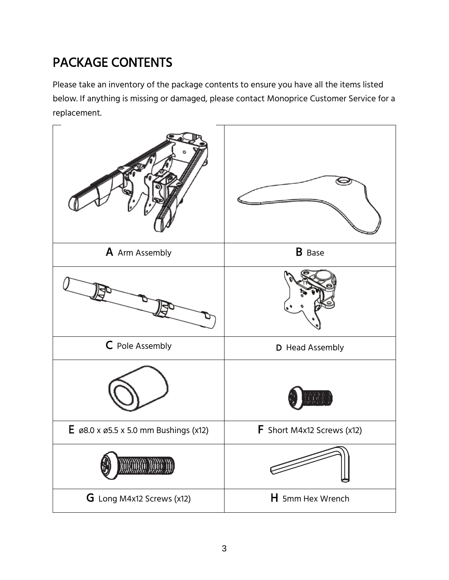# PACKAGE CONTENTS

Please take an inventory of the package contents to ensure you have all the items listed below. If anything is missing or damaged, please contact Monoprice Customer Service for a replacement.

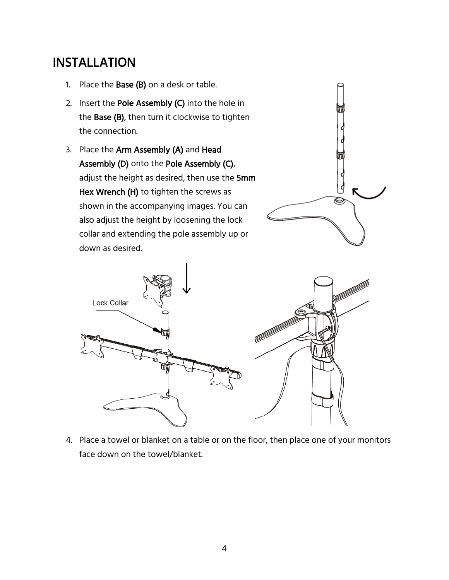#### INSTALLATION

- 1. Place the Base  $(B)$  on a desk or table.
- 2. Insert the Pole Assembly (C) into the hole in the Base (B), then turn it clockwise to tighten the connection.
- 3. Place the Arm Assembly (A) and Head Assembly (D) onto the Pole Assembly (C), adjust the height as desired, then use the 5mm Hex Wrench (H) to tighten the screws as shown in the accompanying images. You can also adjust the height by loosening the lock collar and extending the pole assembly up or down as desired.





4. Place a towel or blanket on a table or on the floor, then place one of your monitors face down on the towel/blanket.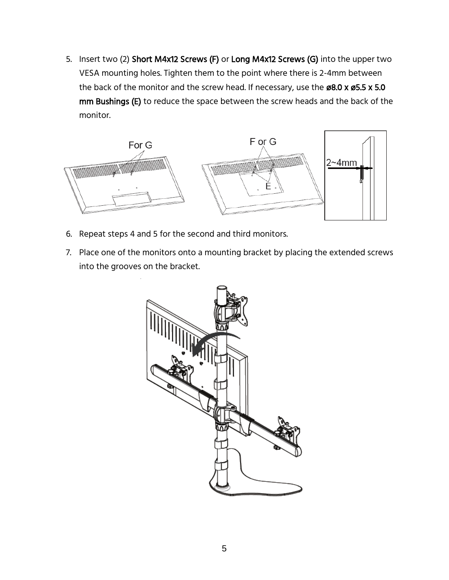5. Insert two (2) Short M4x12 Screws (F) or Long M4x12 Screws (G) into the upper two VESA mounting holes. Tighten them to the point where there is 2-4mm between the back of the monitor and the screw head. If necessary, use the ø8.0 x ø5.5 x 5.0 mm Bushings (E) to reduce the space between the screw heads and the back of the monitor.



- 6. Repeat steps 4 and 5 for the second and third monitors.
- 7. Place one of the monitors onto a mounting bracket by placing the extended screws into the grooves on the bracket.

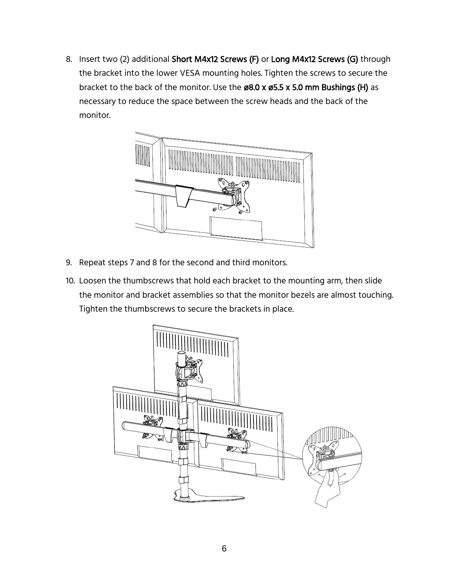8. Insert two (2) additional Short M4x12 Screws (F) or Long M4x12 Screws (G) through the bracket into the lower VESA mounting holes. Tighten the screws to secure the bracket to the back of the monitor. Use the ø8.0 x ø5.5 x 5.0 mm Bushings (H) as necessary to reduce the space between the screw heads and the back of the monitor.



- 9. Repeat steps 7 and 8 for the second and third monitors.
- 10. Loosen the thumbscrews that hold each bracket to the mounting arm, then slide the monitor and bracket assemblies so that the monitor bezels are almost touching. Tighten the thumbscrews to secure the brackets in place.

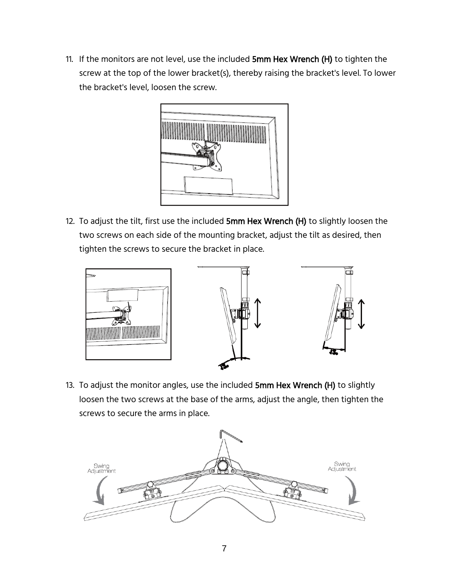11. If the monitors are not level, use the included 5mm Hex Wrench (H) to tighten the screw at the top of the lower bracket(s), thereby raising the bracket's level. To lower the bracket's level, loosen the screw.



12. To adjust the tilt, first use the included 5mm Hex Wrench (H) to slightly loosen the two screws on each side of the mounting bracket, adjust the tilt as desired, then tighten the screws to secure the bracket in place.



13. To adjust the monitor angles, use the included 5mm Hex Wrench (H) to slightly loosen the two screws at the base of the arms, adjust the angle, then tighten the screws to secure the arms in place.

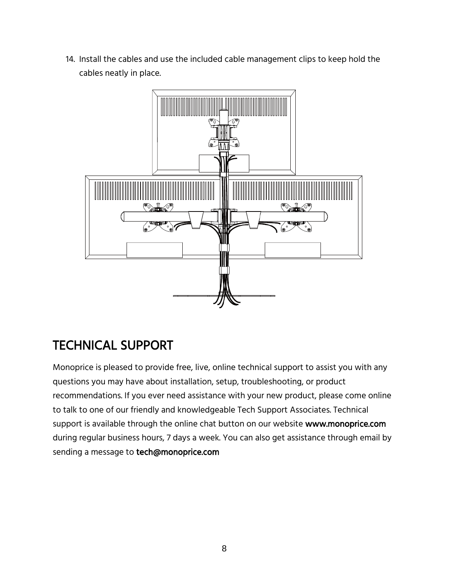14. Install the cables and use the included cable management clips to keep hold the cables neatly in place.



#### TECHNICAL SUPPORT

Monoprice is pleased to provide free, live, online technical support to assist you with any questions you may have about installation, setup, troubleshooting, or product recommendations. If you ever need assistance with your new product, please come online to talk to one of our friendly and knowledgeable Tech Support Associates. Technical support is available through the online chat button on our website www.monoprice.com during regular business hours, 7 days a week. You can also get assistance through email by sending a message to tech@monoprice.com